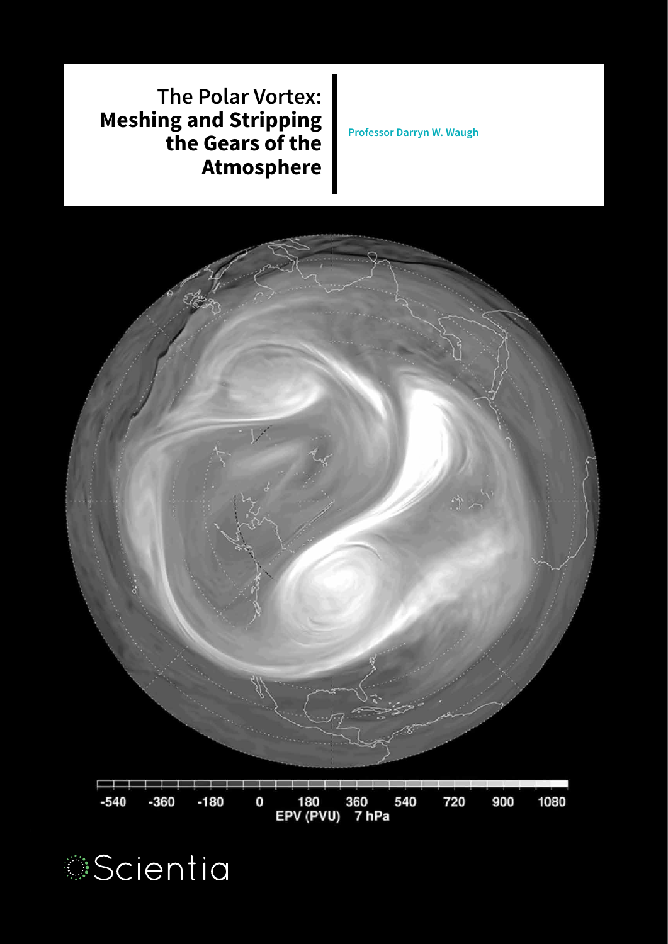



**The Polar Vortex: Meshing and Stripping the Gears of the Atmosphere**

**Professor Darryn W. Waugh**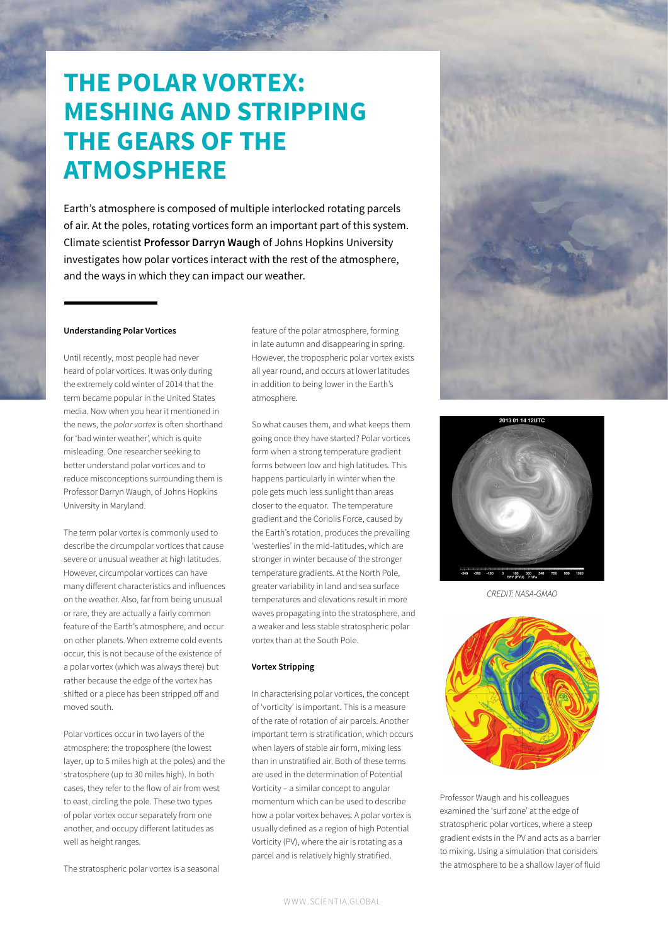# **THE POLAR VORTEX: MESHING AND STRIPPING THE GEARS OF THE ATMOSPHERE**

Earth's atmosphere is composed of multiple interlocked rotating parcels of air. At the poles, rotating vortices form an important part of this system. Climate scientist **Professor Darryn Waugh** of Johns Hopkins University investigates how polar vortices interact with the rest of the atmosphere, and the ways in which they can impact our weather.

## **Understanding Polar Vortices**

Until recently, most people had never heard of polar vortices. It was only during the extremely cold winter of 2014 that the term became popular in the United States media. Now when you hear it mentioned in the news, the *polar vortex* is often shorthand for 'bad winter weather', which is quite misleading. One researcher seeking to better understand polar vortices and to reduce misconceptions surrounding them is Professor Darryn Waugh, of Johns Hopkins University in Maryland.

The term polar vortex is commonly used to describe the circumpolar vortices that cause severe or unusual weather at high latitudes. However, circumpolar vortices can have many diferent characteristics and influences on the weather. Also, far from being unusual or rare, they are actually a fairly common feature of the Earth's atmosphere, and occur on other planets. When extreme cold events occur, this is not because of the existence of a polar vortex (which was always there) but rather because the edge of the vortex has shifted or a piece has been stripped off and moved south.

Polar vortices occur in two layers of the atmosphere: the troposphere (the lowest layer, up to 5 miles high at the poles) and the stratosphere (up to 30 miles high). In both cases, they refer to the flow of air from west to east, circling the pole. These two types of polar vortex occur separately from one another, and occupy diferent latitudes as well as height ranges.

The stratospheric polar vortex is a seasonal

feature of the polar atmosphere, forming in late autumn and disappearing in spring. However, the tropospheric polar vortex exists all year round, and occurs at lower latitudes in addition to being lower in the Earth's atmosphere.

So what causes them, and what keeps them going once they have started? Polar vortices form when a strong temperature gradient forms between low and high latitudes. This happens particularly in winter when the pole gets much less sunlight than areas closer to the equator. The temperature gradient and the Coriolis Force, caused by the Earth's rotation, produces the prevailing 'westerlies' in the mid-latitudes, which are stronger in winter because of the stronger temperature gradients. At the North Pole, greater variability in land and sea surface temperatures and elevations result in more waves propagating into the stratosphere, and a weaker and less stable stratospheric polar vortex than at the South Pole.

# **Vortex Stripping**

In characterising polar vortices, the concept of 'vorticity' is important. This is a measure of the rate of rotation of air parcels. Another important term is stratification, which occurs when layers of stable air form, mixing less than in unstratified air. Both of these terms are used in the determination of Potential Vorticity – a similar concept to angular momentum which can be used to describe how a polar vortex behaves. A polar vortex is usually defined as a region of high Potential Vorticity (PV), where the air is rotating as a parcel and is relatively highly stratified.





*CREDIT: NASA-GMAO*



Professor Waugh and his colleagues examined the 'surf zone' at the edge of stratospheric polar vortices, where a steep gradient exists in the PV and acts as a barrier to mixing. Using a simulation that considers the atmosphere to be a shallow layer of fluid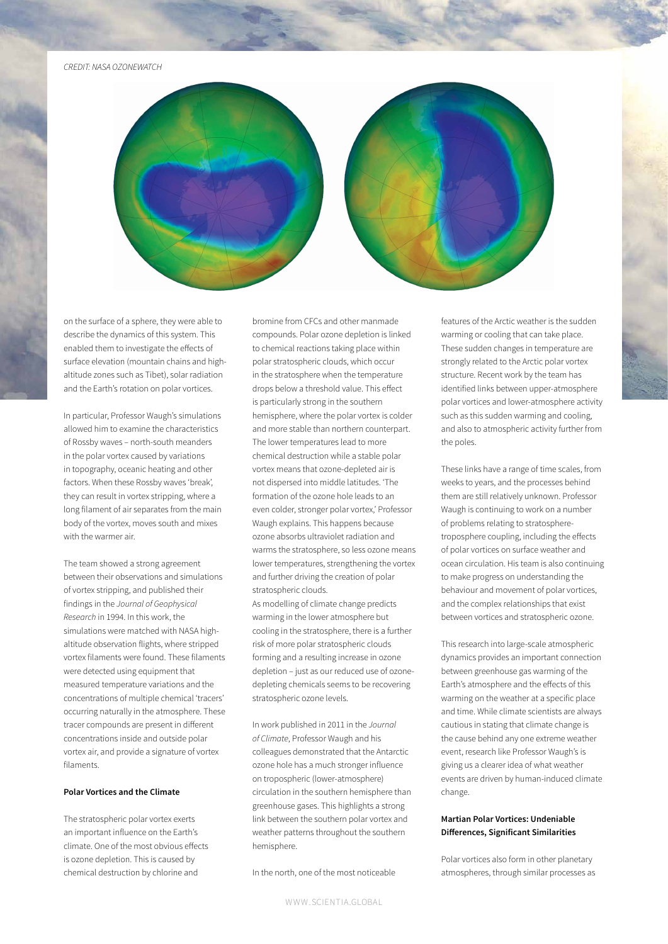#### *CREDIT: NASA OZONEWATCH*



on the surface of a sphere, they were able to describe the dynamics of this system. This enabled them to investigate the efects of surface elevation (mountain chains and highaltitude zones such as Tibet), solar radiation and the Earth's rotation on polar vortices.

In particular, Professor Waugh's simulations allowed him to examine the characteristics of Rossby waves – north-south meanders in the polar vortex caused by variations in topography, oceanic heating and other factors. When these Rossby waves 'break', they can result in vortex stripping, where a long filament of air separates from the main body of the vortex, moves south and mixes with the warmer air.

The team showed a strong agreement between their observations and simulations of vortex stripping, and published their findings in the *Journal of Geophysical Research* in 1994. In this work, the simulations were matched with NASA highaltitude observation flights, where stripped vortex filaments were found. These filaments were detected using equipment that measured temperature variations and the concentrations of multiple chemical 'tracers' occurring naturally in the atmosphere. These tracer compounds are present in diferent concentrations inside and outside polar vortex air, and provide a signature of vortex filaments.

# **Polar Vortices and the Climate**

The stratospheric polar vortex exerts an important influence on the Earth's climate. One of the most obvious efects is ozone depletion. This is caused by chemical destruction by chlorine and

bromine from CFCs and other manmade compounds. Polar ozone depletion is linked to chemical reactions taking place within polar stratospheric clouds, which occur in the stratosphere when the temperature drops below a threshold value. This efect is particularly strong in the southern hemisphere, where the polar vortex is colder and more stable than northern counterpart. The lower temperatures lead to more chemical destruction while a stable polar vortex means that ozone-depleted air is not dispersed into middle latitudes. 'The formation of the ozone hole leads to an even colder, stronger polar vortex,' Professor Waugh explains. This happens because ozone absorbs ultraviolet radiation and warms the stratosphere, so less ozone means lower temperatures, strengthening the vortex and further driving the creation of polar stratospheric clouds.

As modelling of climate change predicts warming in the lower atmosphere but cooling in the stratosphere, there is a further risk of more polar stratospheric clouds forming and a resulting increase in ozone depletion – just as our reduced use of ozonedepleting chemicals seems to be recovering stratospheric ozone levels.

In work published in 2011 in the *Journal of Climate*, Professor Waugh and his colleagues demonstrated that the Antarctic ozone hole has a much stronger influence on tropospheric (lower-atmosphere) circulation in the southern hemisphere than greenhouse gases. This highlights a strong link between the southern polar vortex and weather patterns throughout the southern hemisphere.

In the north, one of the most noticeable

features of the Arctic weather is the sudden warming or cooling that can take place. These sudden changes in temperature are strongly related to the Arctic polar vortex structure. Recent work by the team has identified links between upper-atmosphere polar vortices and lower-atmosphere activity such as this sudden warming and cooling, and also to atmospheric activity further from the poles.

These links have a range of time scales, from weeks to years, and the processes behind them are still relatively unknown. Professor Waugh is continuing to work on a number of problems relating to stratospheretroposphere coupling, including the efects of polar vortices on surface weather and ocean circulation. His team is also continuing to make progress on understanding the behaviour and movement of polar vortices, and the complex relationships that exist between vortices and stratospheric ozone.

This research into large-scale atmospheric dynamics provides an important connection between greenhouse gas warming of the Earth's atmosphere and the efects of this warming on the weather at a specific place and time. While climate scientists are always cautious in stating that climate change is the cause behind any one extreme weather event, research like Professor Waugh's is giving us a clearer idea of what weather events are driven by human-induced climate change.

# **Martian Polar Vortices: Undeniable Diferences, Significant Similarities**

Polar vortices also form in other planetary atmospheres, through similar processes as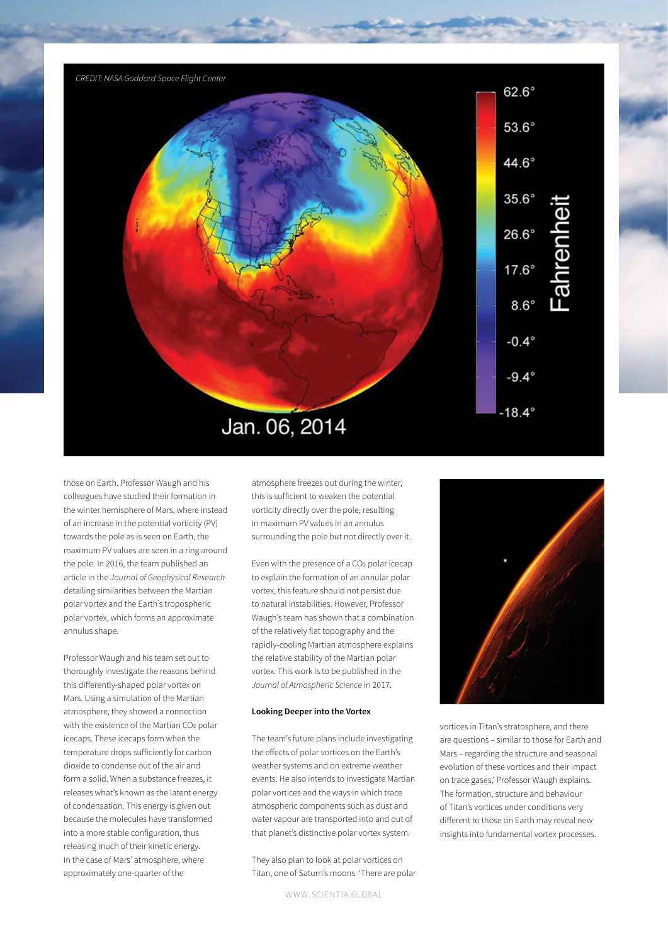

those on Earth. Professor Waugh and his colleagues have studied their formation in the winter hemisphere of Mars, where instead of an increase in the potential vorticity (PV) towards the pole as is seen on Earth, the maximum PV values are seen in a ring around the pole. In 2016, the team published an article in the *Journal of Geophysical Research* detailing similarities between the Martian polar vortex and the Earth's tropospheric polar vortex, which forms an approximate annulus shape.

Professor Waugh and his team set out to thoroughly investigate the reasons behind this diferently-shaped polar vortex on Mars. Using a simulation of the Martian atmosphere, they showed a connection with the existence of the Martian CO2 polar icecaps. These icecaps form when the temperature drops suficiently for carbon dioxide to condense out of the air and form a solid. When a substance freezes, it releases what's known as the latent energy of condensation. This energy is given out because the molecules have transformed into a more stable configuration, thus releasing much of their kinetic energy. In the case of Mars' atmosphere, where approximately one-quarter of the

atmosphere freezes out during the winter, this is suficient to weaken the potential vorticity directly over the pole, resulting in maximum PV values in an annulus surrounding the pole but not directly over it.

Even with the presence of a CO2 polar icecap to explain the formation of an annular polar vortex, this feature should not persist due to natural instabilities. However, Professor Waugh's team has shown that a combination of the relatively flat topography and the rapidly-cooling Martian atmosphere explains the relative stability of the Martian polar vortex. This work is to be published in the *Journal of Atmospheric Science* in 2017.

#### **Looking Deeper into the Vortex**

The team's future plans include investigating the efects of polar vortices on the Earth's weather systems and on extreme weather events. He also intends to investigate Martian polar vortices and the ways in which trace atmospheric components such as dust and water vapour are transported into and out of that planet's distinctive polar vortex system.

They also plan to look at polar vortices on Titan, one of Saturn's moons. 'There are polar



vortices in Titan's stratosphere, and there are questions – similar to those for Earth and Mars – regarding the structure and seasonal evolution of these vortices and their impact on trace gases,' Professor Waugh explains. The formation, structure and behaviour of Titan's vortices under conditions very diferent to those on Earth may reveal new insights into fundamental vortex processes.